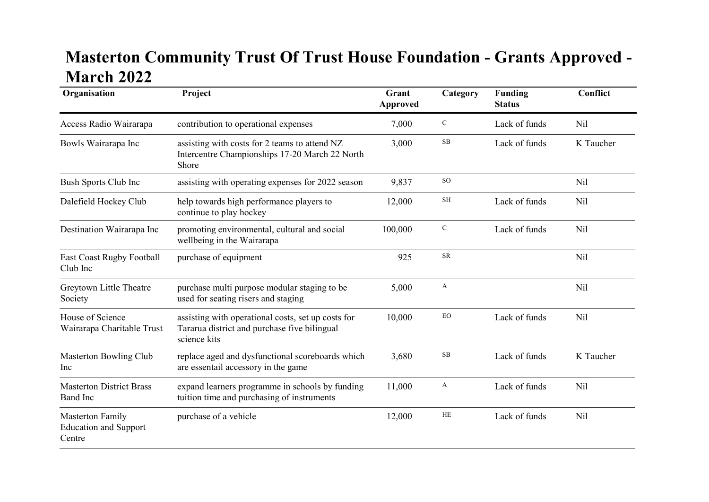## Masterton Community Trust Of Trust House Foundation - Grants Approved - March 2022

| Organisation                                               | Project                                                                                                            | Grant<br><b>Approved</b> | Category         | <b>Funding</b><br><b>Status</b> | Conflict        |
|------------------------------------------------------------|--------------------------------------------------------------------------------------------------------------------|--------------------------|------------------|---------------------------------|-----------------|
| Access Radio Wairarapa                                     | contribution to operational expenses                                                                               | 7,000                    | ${\bf C}$        | Lack of funds                   | Nil             |
| Bowls Wairarapa Inc                                        | assisting with costs for 2 teams to attend NZ<br>Intercentre Championships 17-20 March 22 North<br>Shore           | 3,000                    | $\rm SB$         | Lack of funds                   | K Taucher       |
| <b>Bush Sports Club Inc</b>                                | assisting with operating expenses for 2022 season                                                                  | 9,837                    | <b>SO</b>        |                                 | Nil             |
| Dalefield Hockey Club                                      | help towards high performance players to<br>continue to play hockey                                                | 12,000                   | SH               | Lack of funds                   | Nil             |
| Destination Wairarapa Inc                                  | promoting environmental, cultural and social<br>wellbeing in the Wairarapa                                         | 100,000                  | $\mathbf C$      | Lack of funds                   | Nil             |
| <b>East Coast Rugby Football</b><br>Club Inc               | purchase of equipment                                                                                              | 925                      | <b>SR</b>        |                                 | N <sub>il</sub> |
| Greytown Little Theatre<br>Society                         | purchase multi purpose modular staging to be<br>used for seating risers and staging                                | 5,000                    | $\boldsymbol{A}$ |                                 | Nil             |
| House of Science<br>Wairarapa Charitable Trust             | assisting with operational costs, set up costs for<br>Tararua district and purchase five bilingual<br>science kits | 10,000                   | ${\rm EO}$       | Lack of funds                   | N <sub>il</sub> |
| Masterton Bowling Club<br>Inc                              | replace aged and dysfunctional scoreboards which<br>are essentail accessory in the game                            | 3,680                    | $\rm SB$         | Lack of funds                   | K Taucher       |
| <b>Masterton District Brass</b><br><b>Band</b> Inc         | expand learners programme in schools by funding<br>tuition time and purchasing of instruments                      | 11,000                   | A                | Lack of funds                   | N <sub>il</sub> |
| Masterton Family<br><b>Education and Support</b><br>Centre | purchase of a vehicle                                                                                              | 12,000                   | $\rm HE$         | Lack of funds                   | N <sub>il</sub> |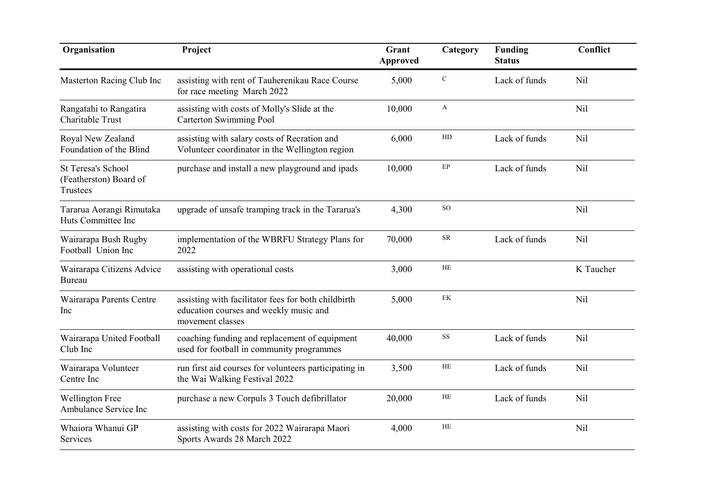| Organisation                                                    | Project                                                                                                           | Grant<br><b>Approved</b> | Category     | <b>Funding</b><br><b>Status</b> | Conflict        |
|-----------------------------------------------------------------|-------------------------------------------------------------------------------------------------------------------|--------------------------|--------------|---------------------------------|-----------------|
| Masterton Racing Club Inc                                       | assisting with rent of Tauherenikau Race Course<br>for race meeting March 2022                                    | 5,000                    | ${\bf C}$    | Lack of funds                   | Nil             |
| Rangatahi to Rangatira<br>Charitable Trust                      | assisting with costs of Molly's Slide at the<br><b>Carterton Swimming Pool</b>                                    | 10,000                   | $\mathbf{A}$ |                                 | Nil             |
| Royal New Zealand<br>Foundation of the Blind                    | assisting with salary costs of Recration and<br>Volunteer coordinator in the Wellington region                    | 6,000                    | ${\rm HD}$   | Lack of funds                   | Nil             |
| <b>St Teresa's School</b><br>(Featherston) Board of<br>Trustees | purchase and install a new playground and ipads                                                                   | 10,000                   | $\rm EP$     | Lack of funds                   | N <sub>il</sub> |
| Tararua Aorangi Rimutaka<br>Huts Committee Inc                  | upgrade of unsafe tramping track in the Tararua's                                                                 | 4,300                    | <b>SO</b>    |                                 | Nil             |
| Wairarapa Bush Rugby<br>Football Union Inc                      | implementation of the WBRFU Strategy Plans for<br>2022                                                            | 70,000                   | ${\sf SR}$   | Lack of funds                   | Nil             |
| Wairarapa Citizens Advice<br>Bureau                             | assisting with operational costs                                                                                  | 3,000                    | $\rm HE$     |                                 | K Taucher       |
| Wairarapa Parents Centre<br>Inc                                 | assisting with facilitator fees for both childbirth<br>education courses and weekly music and<br>movement classes | 5,000                    | $\mbox{EK}$  |                                 | Nil             |
| Wairarapa United Football<br>Club Inc                           | coaching funding and replacement of equipment<br>used for football in community programmes                        | 40,000                   | $_{\rm SS}$  | Lack of funds                   | Nil             |
| Wairarapa Volunteer<br>Centre Inc                               | run first aid courses for volunteers participating in<br>the Wai Walking Festival 2022                            | 3,500                    | HE           | Lack of funds                   | Nil             |
| <b>Wellington Free</b><br>Ambulance Service Inc                 | purchase a new Corpuls 3 Touch defibrillator                                                                      | 20,000                   | HE           | Lack of funds                   | Nil             |
| Whaiora Whanui GP<br>Services                                   | assisting with costs for 2022 Wairarapa Maori<br>Sports Awards 28 March 2022                                      | 4,000                    | <b>HE</b>    |                                 | Nil             |